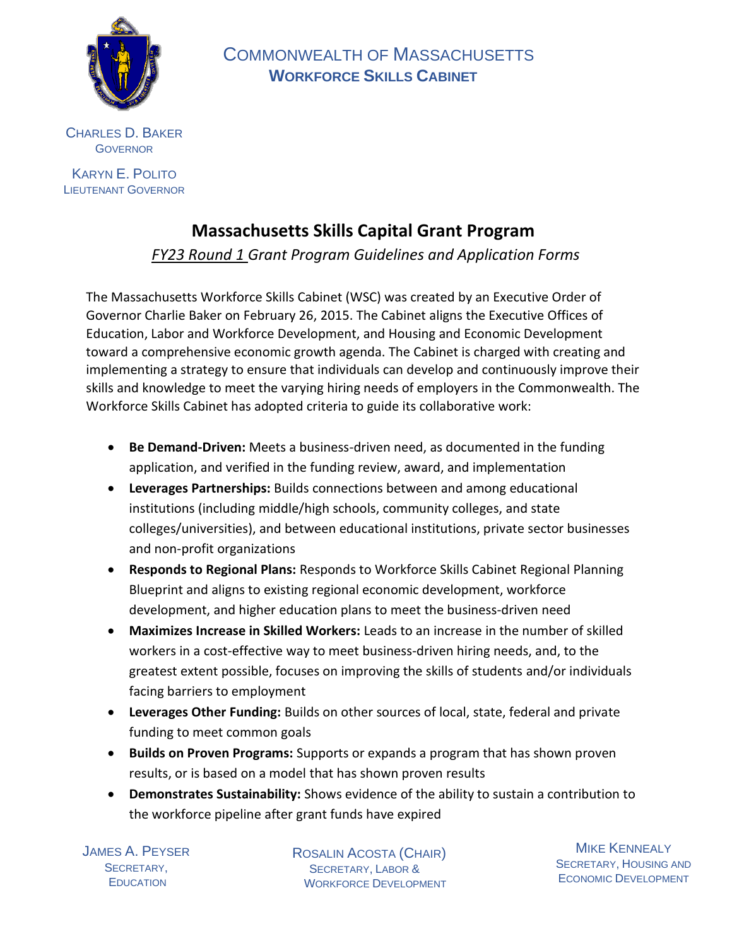

 COMMONWEALTH OF MASSACHUSETTS  **WORKFORCE SKILLS CABINET**

CHARLES D. BAKER **GOVERNOR** 

KARYN E. POLITO LIEUTENANT GOVERNOR

# **Massachusetts Skills Capital Grant Program**

*FY23 Round 1 Grant Program Guidelines and Application Forms*

The Massachusetts Workforce Skills Cabinet (WSC) was created by an Executive Order of Governor Charlie Baker on February 26, 2015. The Cabinet aligns the Executive Offices of Education, Labor and Workforce Development, and Housing and Economic Development toward a comprehensive economic growth agenda. The Cabinet is charged with creating and implementing a strategy to ensure that individuals can develop and continuously improve their skills and knowledge to meet the varying hiring needs of employers in the Commonwealth. The Workforce Skills Cabinet has adopted criteria to guide its collaborative work:

- **Be Demand-Driven:** Meets a business-driven need, as documented in the funding application, and verified in the funding review, award, and implementation
- **Leverages Partnerships:** Builds connections between and among educational institutions (including middle/high schools, community colleges, and state colleges/universities), and between educational institutions, private sector businesses and non-profit organizations
- **Responds to Regional Plans:** Responds to Workforce Skills Cabinet Regional Planning Blueprint and aligns to existing regional economic development, workforce development, and higher education plans to meet the business-driven need
- **Maximizes Increase in Skilled Workers:** Leads to an increase in the number of skilled workers in a cost-effective way to meet business-driven hiring needs, and, to the greatest extent possible, focuses on improving the skills of students and/or individuals facing barriers to employment
- **Leverages Other Funding:** Builds on other sources of local, state, federal and private funding to meet common goals
- **Builds on Proven Programs:** Supports or expands a program that has shown proven results, or is based on a model that has shown proven results
- **Demonstrates Sustainability:** Shows evidence of the ability to sustain a contribution to the workforce pipeline after grant funds have expired

JAMES A. PEYSER SECRETARY, **EDUCATION** 

 ROSALIN ACOSTA (CHAIR) SECRETARY, LABOR & WORKFORCE DEVELOPMENT

**MIKE KENNEALY** SECRETARY, HOUSING AND ECONOMIC DEVELOPMENT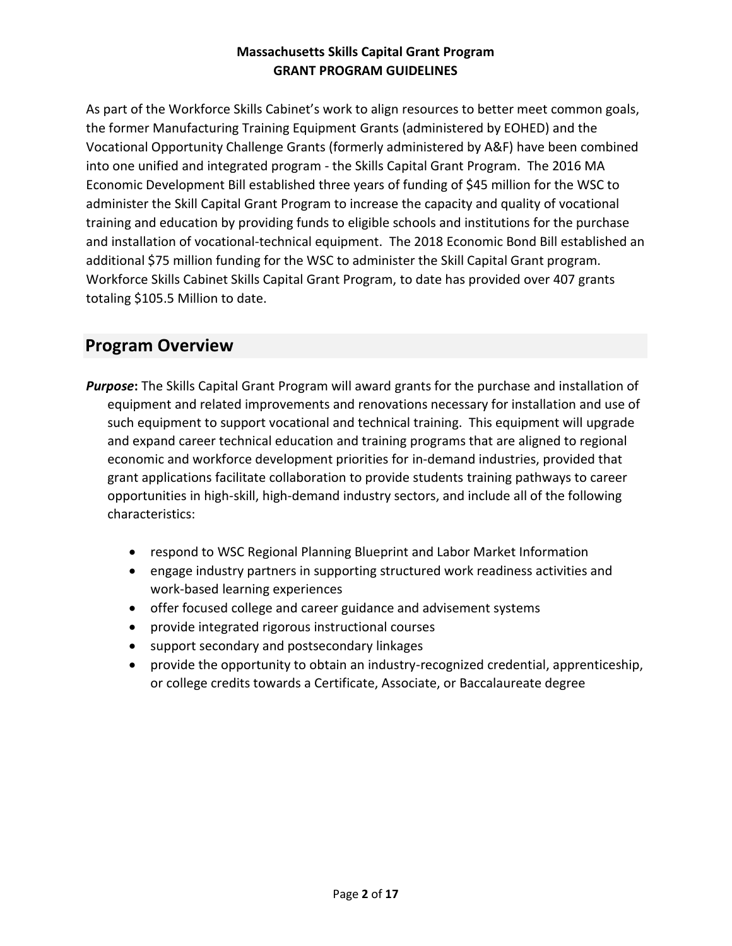As part of the Workforce Skills Cabinet's work to align resources to better meet common goals, the former Manufacturing Training Equipment Grants (administered by EOHED) and the Vocational Opportunity Challenge Grants (formerly administered by A&F) have been combined into one unified and integrated program - the Skills Capital Grant Program. The 2016 MA Economic Development Bill established three years of funding of \$45 million for the WSC to administer the Skill Capital Grant Program to increase the capacity and quality of vocational training and education by providing funds to eligible schools and institutions for the purchase and installation of vocational-technical equipment. The 2018 Economic Bond Bill established an additional \$75 million funding for the WSC to administer the Skill Capital Grant program. Workforce Skills Cabinet Skills Capital Grant Program, to date has provided over 407 grants totaling \$105.5 Million to date.

# **Program Overview**

- *Purpose***:** The Skills Capital Grant Program will award grants for the purchase and installation of equipment and related improvements and renovations necessary for installation and use of such equipment to support vocational and technical training. This equipment will upgrade and expand career technical education and training programs that are aligned to regional economic and workforce development priorities for in-demand industries, provided that grant applications facilitate collaboration to provide students training pathways to career opportunities in high-skill, high-demand industry sectors, and include all of the following characteristics:
	- respond to WSC Regional Planning Blueprint and Labor Market Information
	- engage industry partners in supporting structured work readiness activities and work-based learning experiences
	- offer focused college and career guidance and advisement systems
	- provide integrated rigorous instructional courses
	- support secondary and postsecondary linkages
	- provide the opportunity to obtain an industry-recognized credential, apprenticeship, or college credits towards a Certificate, Associate, or Baccalaureate degree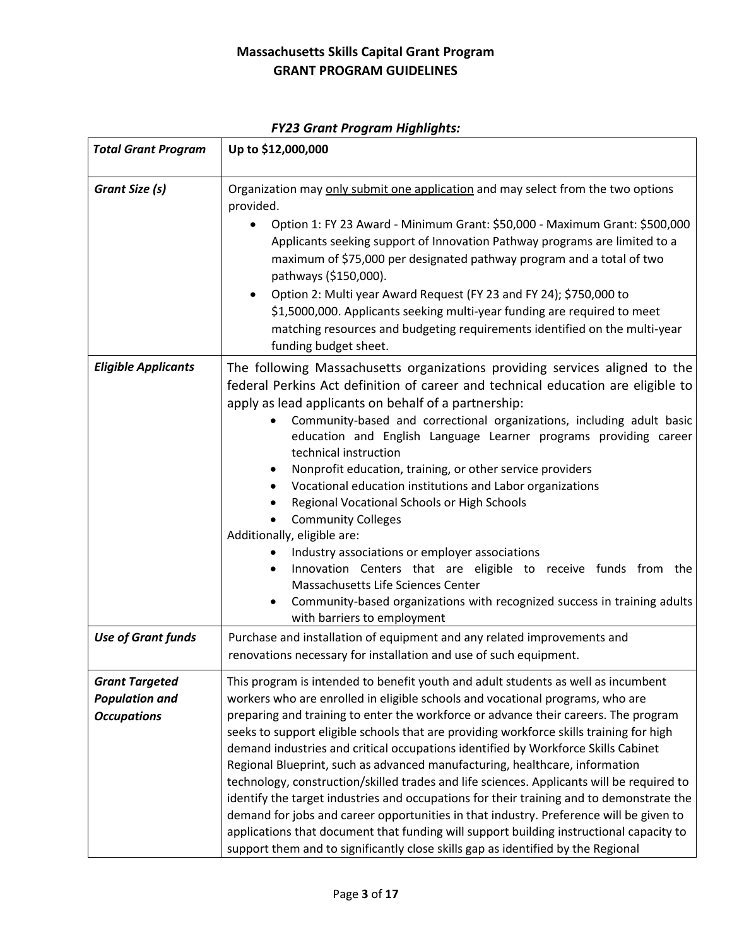| <b>Total Grant Program</b>                                           | Up to \$12,000,000                                                                                                                                                                                                                                                                                                                                                                                                                                                                                                                                                                                                                                                                                                                                                                                                                                                                                                                                                                         |  |  |  |  |
|----------------------------------------------------------------------|--------------------------------------------------------------------------------------------------------------------------------------------------------------------------------------------------------------------------------------------------------------------------------------------------------------------------------------------------------------------------------------------------------------------------------------------------------------------------------------------------------------------------------------------------------------------------------------------------------------------------------------------------------------------------------------------------------------------------------------------------------------------------------------------------------------------------------------------------------------------------------------------------------------------------------------------------------------------------------------------|--|--|--|--|
| Grant Size (s)                                                       | Organization may only submit one application and may select from the two options<br>provided.<br>Option 1: FY 23 Award - Minimum Grant: \$50,000 - Maximum Grant: \$500,000<br>Applicants seeking support of Innovation Pathway programs are limited to a<br>maximum of \$75,000 per designated pathway program and a total of two<br>pathways (\$150,000).<br>Option 2: Multi year Award Request (FY 23 and FY 24); \$750,000 to<br>\$1,5000,000. Applicants seeking multi-year funding are required to meet<br>matching resources and budgeting requirements identified on the multi-year<br>funding budget sheet.                                                                                                                                                                                                                                                                                                                                                                       |  |  |  |  |
| <b>Eligible Applicants</b>                                           | The following Massachusetts organizations providing services aligned to the<br>federal Perkins Act definition of career and technical education are eligible to<br>apply as lead applicants on behalf of a partnership:<br>Community-based and correctional organizations, including adult basic<br>education and English Language Learner programs providing career<br>technical instruction<br>Nonprofit education, training, or other service providers<br>Vocational education institutions and Labor organizations<br>Regional Vocational Schools or High Schools<br><b>Community Colleges</b><br>Additionally, eligible are:<br>Industry associations or employer associations<br>Innovation Centers that are eligible to receive funds from the<br>Massachusetts Life Sciences Center<br>Community-based organizations with recognized success in training adults<br>with barriers to employment                                                                                    |  |  |  |  |
| <b>Use of Grant funds</b>                                            | Purchase and installation of equipment and any related improvements and<br>renovations necessary for installation and use of such equipment.                                                                                                                                                                                                                                                                                                                                                                                                                                                                                                                                                                                                                                                                                                                                                                                                                                               |  |  |  |  |
| <b>Grant Targeted</b><br><b>Population and</b><br><b>Occupations</b> | This program is intended to benefit youth and adult students as well as incumbent<br>workers who are enrolled in eligible schools and vocational programs, who are<br>preparing and training to enter the workforce or advance their careers. The program<br>seeks to support eligible schools that are providing workforce skills training for high<br>demand industries and critical occupations identified by Workforce Skills Cabinet<br>Regional Blueprint, such as advanced manufacturing, healthcare, information<br>technology, construction/skilled trades and life sciences. Applicants will be required to<br>identify the target industries and occupations for their training and to demonstrate the<br>demand for jobs and career opportunities in that industry. Preference will be given to<br>applications that document that funding will support building instructional capacity to<br>support them and to significantly close skills gap as identified by the Regional |  |  |  |  |

# *FY23 Grant Program Highlights:*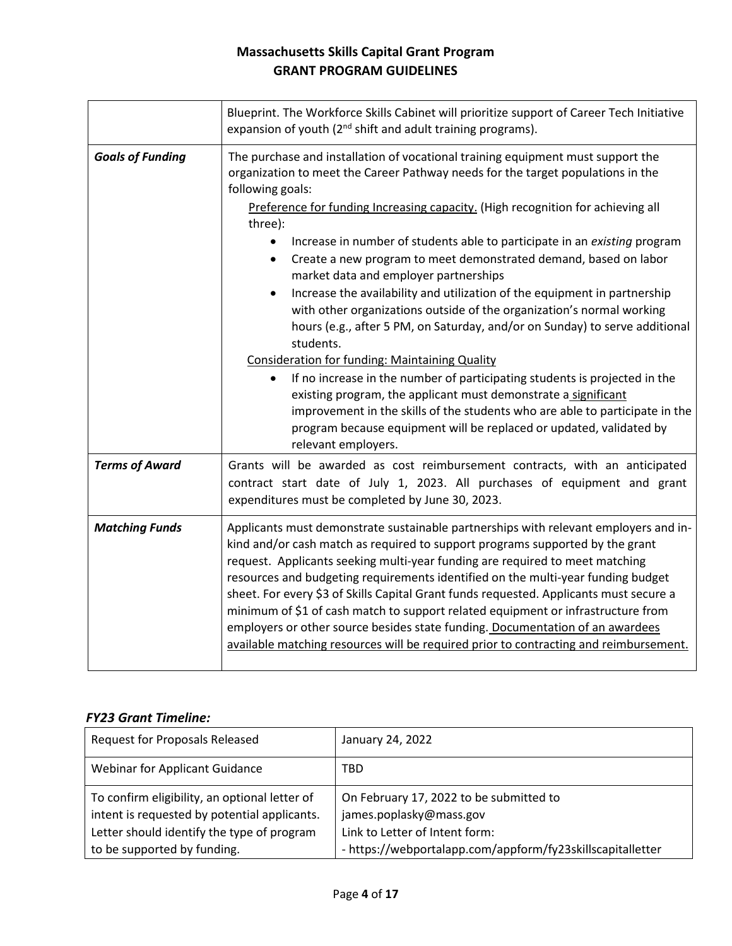|                         | Blueprint. The Workforce Skills Cabinet will prioritize support of Career Tech Initiative<br>expansion of youth (2 <sup>nd</sup> shift and adult training programs).                                                                                                                                                                                                                                                                                                                                                                                                                                                                                                                                                                                                                                                                                                                                                                                                                                                                                                                                                                 |  |  |  |  |  |
|-------------------------|--------------------------------------------------------------------------------------------------------------------------------------------------------------------------------------------------------------------------------------------------------------------------------------------------------------------------------------------------------------------------------------------------------------------------------------------------------------------------------------------------------------------------------------------------------------------------------------------------------------------------------------------------------------------------------------------------------------------------------------------------------------------------------------------------------------------------------------------------------------------------------------------------------------------------------------------------------------------------------------------------------------------------------------------------------------------------------------------------------------------------------------|--|--|--|--|--|
| <b>Goals of Funding</b> | The purchase and installation of vocational training equipment must support the<br>organization to meet the Career Pathway needs for the target populations in the<br>following goals:<br>Preference for funding Increasing capacity. (High recognition for achieving all<br>three):<br>Increase in number of students able to participate in an existing program<br>Create a new program to meet demonstrated demand, based on labor<br>market data and employer partnerships<br>Increase the availability and utilization of the equipment in partnership<br>with other organizations outside of the organization's normal working<br>hours (e.g., after 5 PM, on Saturday, and/or on Sunday) to serve additional<br>students.<br><b>Consideration for funding: Maintaining Quality</b><br>If no increase in the number of participating students is projected in the<br>$\bullet$<br>existing program, the applicant must demonstrate a significant<br>improvement in the skills of the students who are able to participate in the<br>program because equipment will be replaced or updated, validated by<br>relevant employers. |  |  |  |  |  |
| <b>Terms of Award</b>   | Grants will be awarded as cost reimbursement contracts, with an anticipated<br>contract start date of July 1, 2023. All purchases of equipment and grant<br>expenditures must be completed by June 30, 2023.                                                                                                                                                                                                                                                                                                                                                                                                                                                                                                                                                                                                                                                                                                                                                                                                                                                                                                                         |  |  |  |  |  |
| <b>Matching Funds</b>   | Applicants must demonstrate sustainable partnerships with relevant employers and in-<br>kind and/or cash match as required to support programs supported by the grant<br>request. Applicants seeking multi-year funding are required to meet matching<br>resources and budgeting requirements identified on the multi-year funding budget<br>sheet. For every \$3 of Skills Capital Grant funds requested. Applicants must secure a<br>minimum of \$1 of cash match to support related equipment or infrastructure from<br>employers or other source besides state funding. Documentation of an awardees<br>available matching resources will be required prior to contracting and reimbursement.                                                                                                                                                                                                                                                                                                                                                                                                                                    |  |  |  |  |  |

#### *FY23 Grant Timeline:*

| <b>Request for Proposals Released</b>                                                         | January 24, 2022                                                   |
|-----------------------------------------------------------------------------------------------|--------------------------------------------------------------------|
| <b>Webinar for Applicant Guidance</b>                                                         | TBD                                                                |
| To confirm eligibility, an optional letter of<br>intent is requested by potential applicants. | On February 17, 2022 to be submitted to<br>james.poplasky@mass.gov |
| Letter should identify the type of program                                                    | Link to Letter of Intent form:                                     |
| to be supported by funding.                                                                   | - https://webportalapp.com/appform/fy23skillscapitalletter         |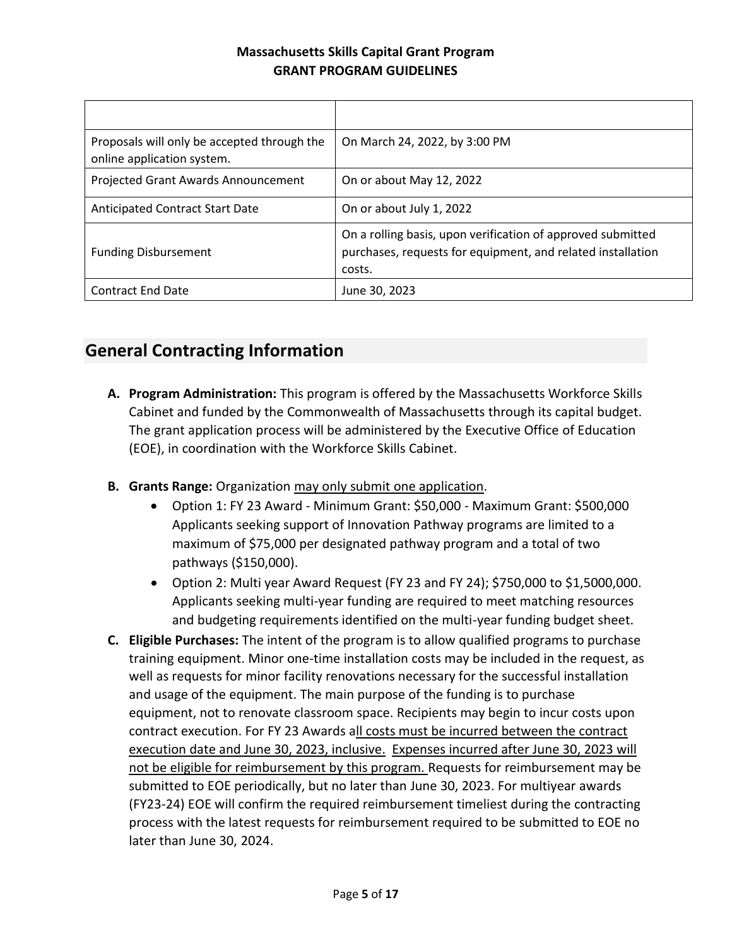| Proposals will only be accepted through the<br>online application system. | On March 24, 2022, by 3:00 PM                                                                                                        |
|---------------------------------------------------------------------------|--------------------------------------------------------------------------------------------------------------------------------------|
| Projected Grant Awards Announcement                                       | On or about May 12, 2022                                                                                                             |
| <b>Anticipated Contract Start Date</b>                                    | On or about July 1, 2022                                                                                                             |
| <b>Funding Disbursement</b>                                               | On a rolling basis, upon verification of approved submitted<br>purchases, requests for equipment, and related installation<br>costs. |
| <b>Contract End Date</b>                                                  | June 30, 2023                                                                                                                        |

# **General Contracting Information**

- **A. Program Administration:** This program is offered by the Massachusetts Workforce Skills Cabinet and funded by the Commonwealth of Massachusetts through its capital budget. The grant application process will be administered by the Executive Office of Education (EOE), in coordination with the Workforce Skills Cabinet.
- **B. Grants Range:** Organization may only submit one application.
	- Option 1: FY 23 Award Minimum Grant: \$50,000 Maximum Grant: \$500,000 Applicants seeking support of Innovation Pathway programs are limited to a maximum of \$75,000 per designated pathway program and a total of two pathways (\$150,000).
	- Option 2: Multi year Award Request (FY 23 and FY 24); \$750,000 to \$1,5000,000. Applicants seeking multi-year funding are required to meet matching resources and budgeting requirements identified on the multi-year funding budget sheet.
- **C. Eligible Purchases:** The intent of the program is to allow qualified programs to purchase training equipment. Minor one-time installation costs may be included in the request, as well as requests for minor facility renovations necessary for the successful installation and usage of the equipment. The main purpose of the funding is to purchase equipment, not to renovate classroom space. Recipients may begin to incur costs upon contract execution. For FY 23 Awards all costs must be incurred between the contract execution date and June 30, 2023, inclusive. Expenses incurred after June 30, 2023 will not be eligible for reimbursement by this program. Requests for reimbursement may be submitted to EOE periodically, but no later than June 30, 2023. For multiyear awards (FY23-24) EOE will confirm the required reimbursement timeliest during the contracting process with the latest requests for reimbursement required to be submitted to EOE no later than June 30, 2024.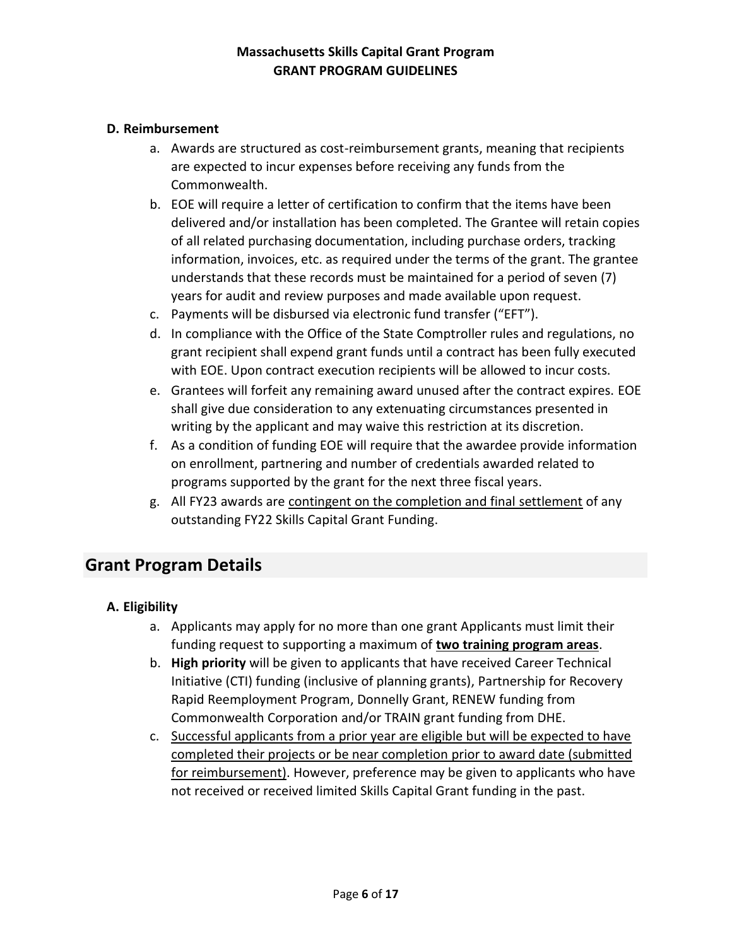#### **D. Reimbursement**

- a. Awards are structured as cost-reimbursement grants, meaning that recipients are expected to incur expenses before receiving any funds from the Commonwealth.
- b. EOE will require a letter of certification to confirm that the items have been delivered and/or installation has been completed. The Grantee will retain copies of all related purchasing documentation, including purchase orders, tracking information, invoices, etc. as required under the terms of the grant. The grantee understands that these records must be maintained for a period of seven (7) years for audit and review purposes and made available upon request.
- c. Payments will be disbursed via electronic fund transfer ("EFT").
- d. In compliance with the Office of the State Comptroller rules and regulations, no grant recipient shall expend grant funds until a contract has been fully executed with EOE. Upon contract execution recipients will be allowed to incur costs.
- e. Grantees will forfeit any remaining award unused after the contract expires. EOE shall give due consideration to any extenuating circumstances presented in writing by the applicant and may waive this restriction at its discretion.
- f. As a condition of funding EOE will require that the awardee provide information on enrollment, partnering and number of credentials awarded related to programs supported by the grant for the next three fiscal years.
- g. All FY23 awards are contingent on the completion and final settlement of any outstanding FY22 Skills Capital Grant Funding.

# **Grant Program Details**

#### **A. Eligibility**

- a. Applicants may apply for no more than one grant Applicants must limit their funding request to supporting a maximum of **two training program areas**.
- b. **High priority** will be given to applicants that have received Career Technical Initiative (CTI) funding (inclusive of planning grants), Partnership for Recovery Rapid Reemployment Program, Donnelly Grant, RENEW funding from Commonwealth Corporation and/or TRAIN grant funding from DHE.
- c. Successful applicants from a prior year are eligible but will be expected to have completed their projects or be near completion prior to award date (submitted for reimbursement). However, preference may be given to applicants who have not received or received limited Skills Capital Grant funding in the past.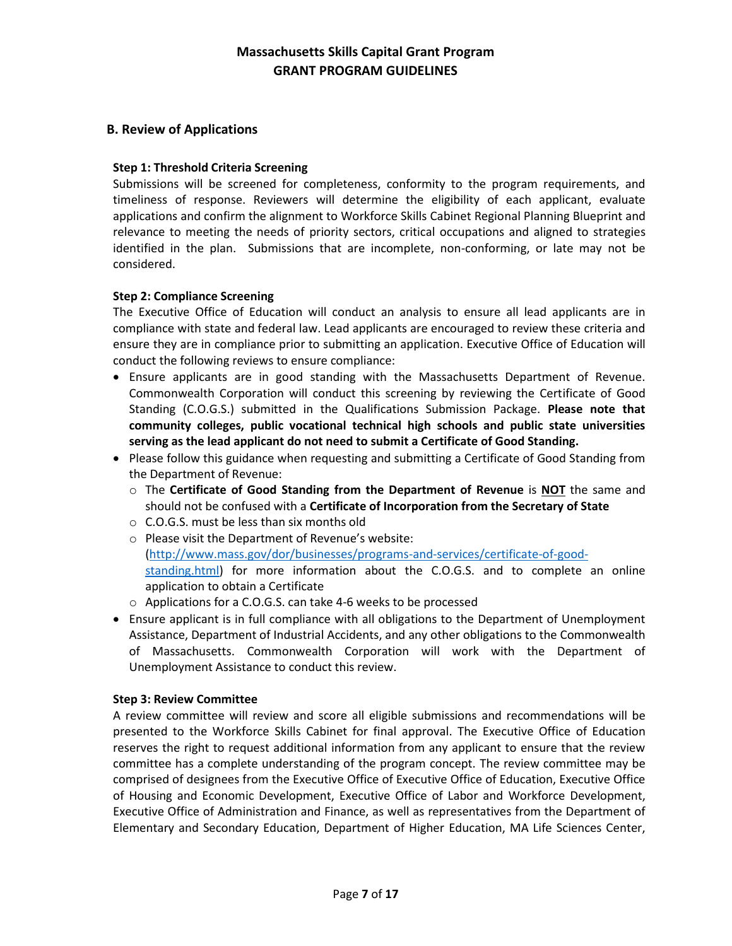#### **B. Review of Applications**

#### **Step 1: Threshold Criteria Screening**

Submissions will be screened for completeness, conformity to the program requirements, and timeliness of response. Reviewers will determine the eligibility of each applicant, evaluate applications and confirm the alignment to Workforce Skills Cabinet Regional Planning Blueprint and relevance to meeting the needs of priority sectors, critical occupations and aligned to strategies identified in the plan. Submissions that are incomplete, non-conforming, or late may not be considered.

#### **Step 2: Compliance Screening**

The Executive Office of Education will conduct an analysis to ensure all lead applicants are in compliance with state and federal law. Lead applicants are encouraged to review these criteria and ensure they are in compliance prior to submitting an application. Executive Office of Education will conduct the following reviews to ensure compliance:

- Ensure applicants are in good standing with the Massachusetts Department of Revenue. Commonwealth Corporation will conduct this screening by reviewing the Certificate of Good Standing (C.O.G.S.) submitted in the Qualifications Submission Package. **Please note that community colleges, public vocational technical high schools and public state universities serving as the lead applicant do not need to submit a Certificate of Good Standing.**
- Please follow this guidance when requesting and submitting a Certificate of Good Standing from the Department of Revenue:
	- o The **Certificate of Good Standing from the Department of Revenue** is **NOT** the same and should not be confused with a **Certificate of Incorporation from the Secretary of State**
	- o C.O.G.S. must be less than six months old
	- o Please visit the Department of Revenue's website: [\(http://www.mass.gov/dor/businesses/programs-and-services/certificate-of-good](http://www.mass.gov/dor/businesses/programs-and-services/certificate-of-good-standing.html)[standing.html\)](http://www.mass.gov/dor/businesses/programs-and-services/certificate-of-good-standing.html) for more information about the C.O.G.S. and to complete an online application to obtain a Certificate
	- o Applications for a C.O.G.S. can take 4-6 weeks to be processed
- Ensure applicant is in full compliance with all obligations to the Department of Unemployment Assistance, Department of Industrial Accidents, and any other obligations to the Commonwealth of Massachusetts. Commonwealth Corporation will work with the Department of Unemployment Assistance to conduct this review.

#### **Step 3: Review Committee**

A review committee will review and score all eligible submissions and recommendations will be presented to the Workforce Skills Cabinet for final approval. The Executive Office of Education reserves the right to request additional information from any applicant to ensure that the review committee has a complete understanding of the program concept. The review committee may be comprised of designees from the Executive Office of Executive Office of Education, Executive Office of Housing and Economic Development, Executive Office of Labor and Workforce Development, Executive Office of Administration and Finance, as well as representatives from the Department of Elementary and Secondary Education, Department of Higher Education, MA Life Sciences Center,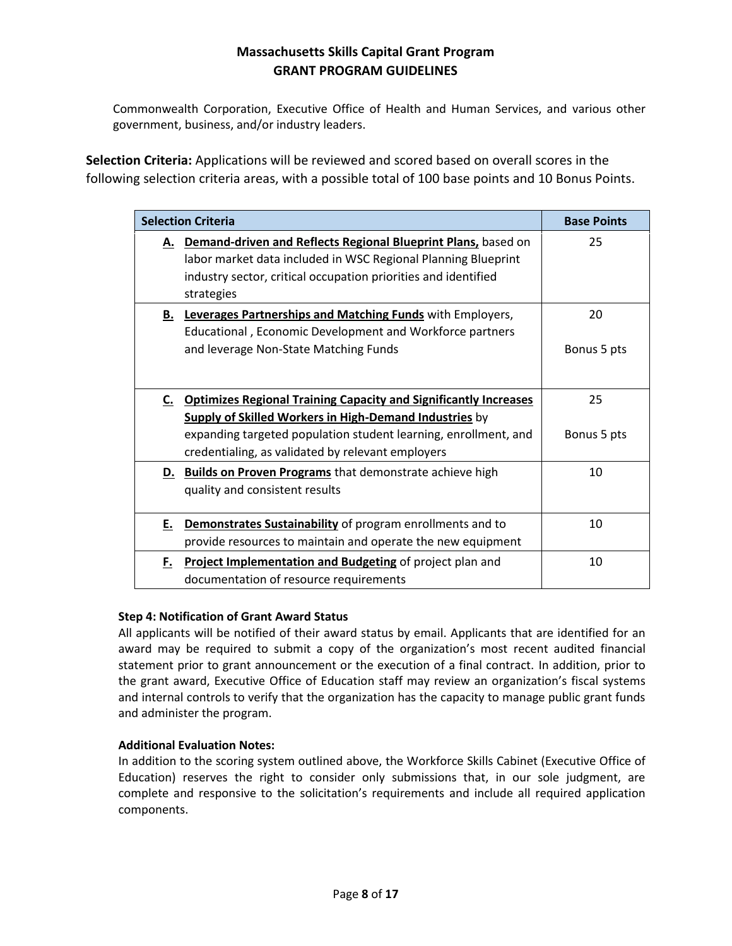Commonwealth Corporation, Executive Office of Health and Human Services, and various other government, business, and/or industry leaders.

**Selection Criteria:** Applications will be reviewed and scored based on overall scores in the following selection criteria areas, with a possible total of 100 base points and 10 Bonus Points.

| <b>Selection Criteria</b> | <b>Base Points</b>                                                                                                                                                                                                                                           |                   |
|---------------------------|--------------------------------------------------------------------------------------------------------------------------------------------------------------------------------------------------------------------------------------------------------------|-------------------|
|                           | A. Demand-driven and Reflects Regional Blueprint Plans, based on<br>labor market data included in WSC Regional Planning Blueprint<br>industry sector, critical occupation priorities and identified<br>strategies                                            | 25                |
|                           | <b>B.</b> Leverages Partnerships and Matching Funds with Employers,<br>Educational, Economic Development and Workforce partners<br>and leverage Non-State Matching Funds                                                                                     | 20<br>Bonus 5 pts |
|                           | C. Optimizes Regional Training Capacity and Significantly Increases<br><b>Supply of Skilled Workers in High-Demand Industries by</b><br>expanding targeted population student learning, enrollment, and<br>credentialing, as validated by relevant employers | 25<br>Bonus 5 pts |
|                           | D. Builds on Proven Programs that demonstrate achieve high<br>quality and consistent results                                                                                                                                                                 | 10                |
| E.,                       | Demonstrates Sustainability of program enrollments and to<br>provide resources to maintain and operate the new equipment                                                                                                                                     | 10                |
| F.                        | Project Implementation and Budgeting of project plan and<br>documentation of resource requirements                                                                                                                                                           | 10                |

#### **Step 4: Notification of Grant Award Status**

All applicants will be notified of their award status by email. Applicants that are identified for an award may be required to submit a copy of the organization's most recent audited financial statement prior to grant announcement or the execution of a final contract. In addition, prior to the grant award, Executive Office of Education staff may review an organization's fiscal systems and internal controls to verify that the organization has the capacity to manage public grant funds and administer the program.

#### **Additional Evaluation Notes:**

In addition to the scoring system outlined above, the Workforce Skills Cabinet (Executive Office of Education) reserves the right to consider only submissions that, in our sole judgment, are complete and responsive to the solicitation's requirements and include all required application components.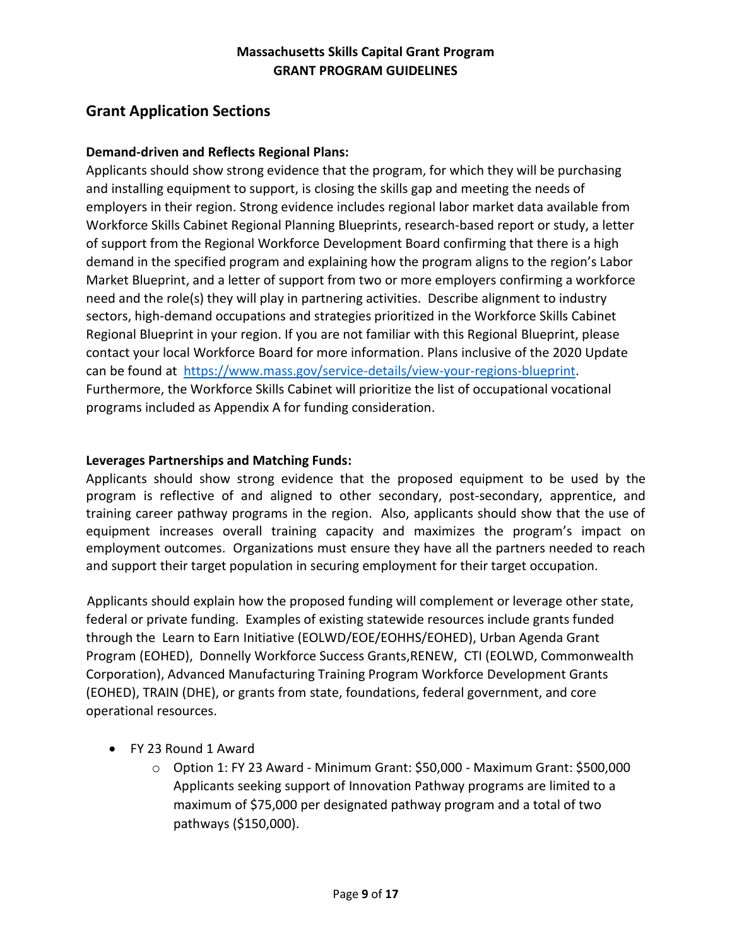# **Grant Application Sections**

#### **Demand-driven and Reflects Regional Plans:**

Applicants should show strong evidence that the program, for which they will be purchasing and installing equipment to support, is closing the skills gap and meeting the needs of employers in their region. Strong evidence includes regional labor market data available from Workforce Skills Cabinet Regional Planning Blueprints, research-based report or study, a letter of support from the Regional Workforce Development Board confirming that there is a high demand in the specified program and explaining how the program aligns to the region's Labor Market Blueprint, and a letter of support from two or more employers confirming a workforce need and the role(s) they will play in partnering activities. Describe alignment to industry sectors, high-demand occupations and strategies prioritized in the Workforce Skills Cabinet Regional Blueprint in your region. If you are not familiar with this Regional Blueprint, please contact your local Workforce Board for more information. Plans inclusive of the 2020 Update can be found at [https://www.mass.gov/service-details/view-your-regions-blueprint.](https://www.mass.gov/service-details/view-your-regions-blueprint) Furthermore, the Workforce Skills Cabinet will prioritize the list of occupational vocational programs included as Appendix A for funding consideration.

#### **Leverages Partnerships and Matching Funds:**

Applicants should show strong evidence that the proposed equipment to be used by the program is reflective of and aligned to other secondary, post-secondary, apprentice, and training career pathway programs in the region. Also, applicants should show that the use of equipment increases overall training capacity and maximizes the program's impact on employment outcomes. Organizations must ensure they have all the partners needed to reach and support their target population in securing employment for their target occupation.

Applicants should explain how the proposed funding will complement or leverage other state, federal or private funding. Examples of existing statewide resources include grants funded through th[e](http://www.mass.gov/hed/community/funding/urban-agenda-grant-program.html) Learn to Earn Initiative (EOLWD/EOE/EOHHS/EOHED), [Urban](http://www.mass.gov/hed/community/funding/urban-agenda-grant-program.html) [Agenda Grant](http://www.mass.gov/hed/community/funding/urban-agenda-grant-program.html)  [Program](http://www.mass.gov/hed/community/funding/urban-agenda-grant-program.html) [\(](http://www.mass.gov/hed/community/funding/urban-agenda-grant-program.html)EOHED)[,](http://www.mass.gov/hed/community/funding/advanced-manufacturing-training-program.html) Donnelly Workforce Success Grants,RENEW, CT[I](http://www.commcorp.org/initiatives/fund.cfm?ID=3) (EOLWD, Commonwealth Corporation), [Advanced Manufacturing Training Program Workforce](http://www.mass.gov/hed/community/funding/advanced-manufacturing-training-program.html) [Development Grants](http://www.mass.gov/hed/community/funding/advanced-manufacturing-training-program.html) (EOHED), TRAIN (DHE), or grants from state, foundations, federal government, and core operational resources.

- FY 23 Round 1 Award
	- o Option 1: FY 23 Award Minimum Grant: \$50,000 Maximum Grant: \$500,000 Applicants seeking support of Innovation Pathway programs are limited to a maximum of \$75,000 per designated pathway program and a total of two pathways (\$150,000).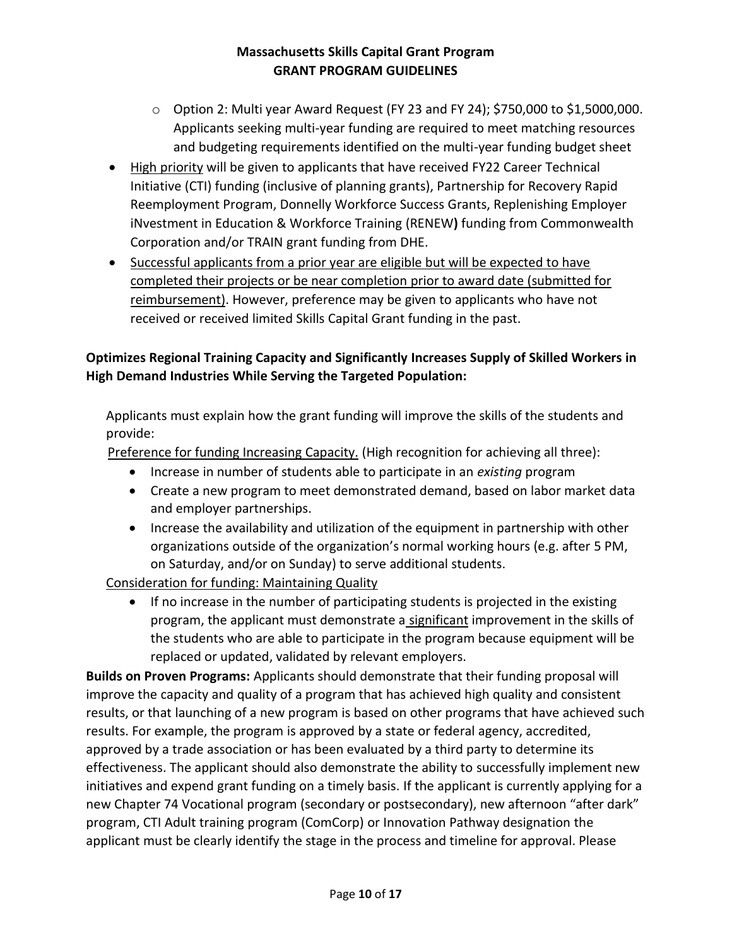- o Option 2: Multi year Award Request (FY 23 and FY 24); \$750,000 to \$1,5000,000. Applicants seeking multi-year funding are required to meet matching resources and budgeting requirements identified on the multi-year funding budget sheet
- High priority will be given to applicants that have received FY22 Career Technical Initiative (CTI) funding (inclusive of planning grants), Partnership for Recovery Rapid Reemployment Program, Donnelly Workforce Success Grants, Replenishing Employer iNvestment in Education & Workforce Training (RENEW**)** funding from Commonwealth Corporation and/or TRAIN grant funding from DHE.
- Successful applicants from a prior year are eligible but will be expected to have completed their projects or be near completion prior to award date (submitted for reimbursement). However, preference may be given to applicants who have not received or received limited Skills Capital Grant funding in the past.

### **Optimizes Regional Training Capacity and Significantly Increases Supply of Skilled Workers in High Demand Industries While Serving the Targeted Population:**

Applicants must explain how the grant funding will improve the skills of the students and provide:

Preference for funding Increasing Capacity. (High recognition for achieving all three):

- Increase in number of students able to participate in an *existing* program
- Create a new program to meet demonstrated demand, based on labor market data and employer partnerships.
- Increase the availability and utilization of the equipment in partnership with other organizations outside of the organization's normal working hours (e.g. after 5 PM, on Saturday, and/or on Sunday) to serve additional students.

Consideration for funding: Maintaining Quality

• If no increase in the number of participating students is projected in the existing program, the applicant must demonstrate a significant improvement in the skills of the students who are able to participate in the program because equipment will be replaced or updated, validated by relevant employers.

**Builds on Proven Programs:** Applicants should demonstrate that their funding proposal will improve the capacity and quality of a program that has achieved high quality and consistent results, or that launching of a new program is based on other programs that have achieved such results. For example, the program is approved by a state or federal agency, accredited, approved by a trade association or has been evaluated by a third party to determine its effectiveness. The applicant should also demonstrate the ability to successfully implement new initiatives and expend grant funding on a timely basis. If the applicant is currently applying for a new Chapter 74 Vocational program (secondary or postsecondary), new afternoon "after dark" program, CTI Adult training program (ComCorp) or Innovation Pathway designation the applicant must be clearly identify the stage in the process and timeline for approval. Please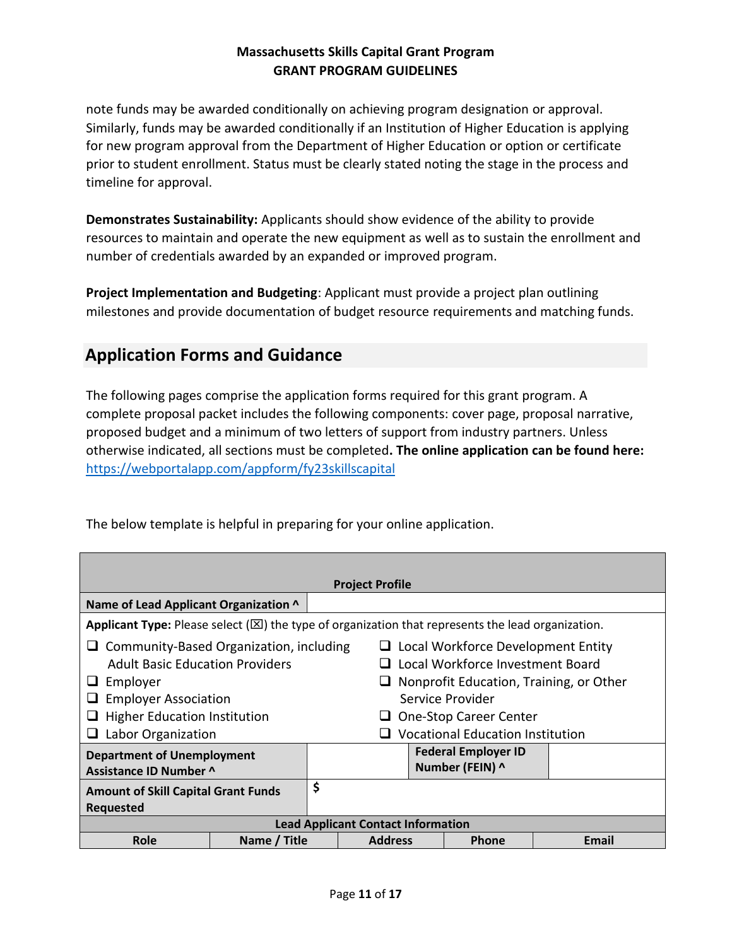note funds may be awarded conditionally on achieving program designation or approval. Similarly, funds may be awarded conditionally if an Institution of Higher Education is applying for new program approval from the Department of Higher Education or option or certificate prior to student enrollment. Status must be clearly stated noting the stage in the process and timeline for approval.

**Demonstrates Sustainability:** Applicants should show evidence of the ability to provide resources to maintain and operate the new equipment as well as to sustain the enrollment and number of credentials awarded by an expanded or improved program.

**Project Implementation and Budgeting**: Applicant must provide a project plan outlining milestones and provide documentation of budget resource requirements and matching funds.

# **Application Forms and Guidance**

The following pages comprise the application forms required for this grant program. A complete proposal packet includes the following components: cover page, proposal narrative, proposed budget and a minimum of two letters of support from industry partners. Unless otherwise indicated, all sections must be completed**. The online application can be found here:**  <https://webportalapp.com/appform/fy23skillscapital>

|                                                                                                                                                                                                                                                                                                                                                                                                                               | <b>Project Profile</b><br>Name of Lead Applicant Organization ^ |    |                                           |  |              |       |  |
|-------------------------------------------------------------------------------------------------------------------------------------------------------------------------------------------------------------------------------------------------------------------------------------------------------------------------------------------------------------------------------------------------------------------------------|-----------------------------------------------------------------|----|-------------------------------------------|--|--------------|-------|--|
| <b>Applicant Type:</b> Please select ( $\boxtimes$ ) the type of organization that represents the lead organization.                                                                                                                                                                                                                                                                                                          |                                                                 |    |                                           |  |              |       |  |
| Community-Based Organization, including<br>Local Workforce Development Entity<br>u<br>u.<br><b>Adult Basic Education Providers</b><br>Local Workforce Investment Board<br>Nonprofit Education, Training, or Other<br>Employer<br>u<br><b>Employer Association</b><br>Service Provider<br><b>Higher Education Institution</b><br>One-Stop Career Center<br><b>Vocational Education Institution</b><br>Labor Organization<br>u. |                                                                 |    |                                           |  |              |       |  |
| <b>Federal Employer ID</b><br><b>Department of Unemployment</b><br>Number (FEIN) ^<br>Assistance ID Number ^                                                                                                                                                                                                                                                                                                                  |                                                                 |    |                                           |  |              |       |  |
| <b>Amount of Skill Capital Grant Funds</b><br><b>Requested</b>                                                                                                                                                                                                                                                                                                                                                                |                                                                 | \$ |                                           |  |              |       |  |
|                                                                                                                                                                                                                                                                                                                                                                                                                               |                                                                 |    | <b>Lead Applicant Contact Information</b> |  |              |       |  |
| Role                                                                                                                                                                                                                                                                                                                                                                                                                          | Name / Title                                                    |    | <b>Address</b>                            |  | <b>Phone</b> | Email |  |

The below template is helpful in preparing for your online application.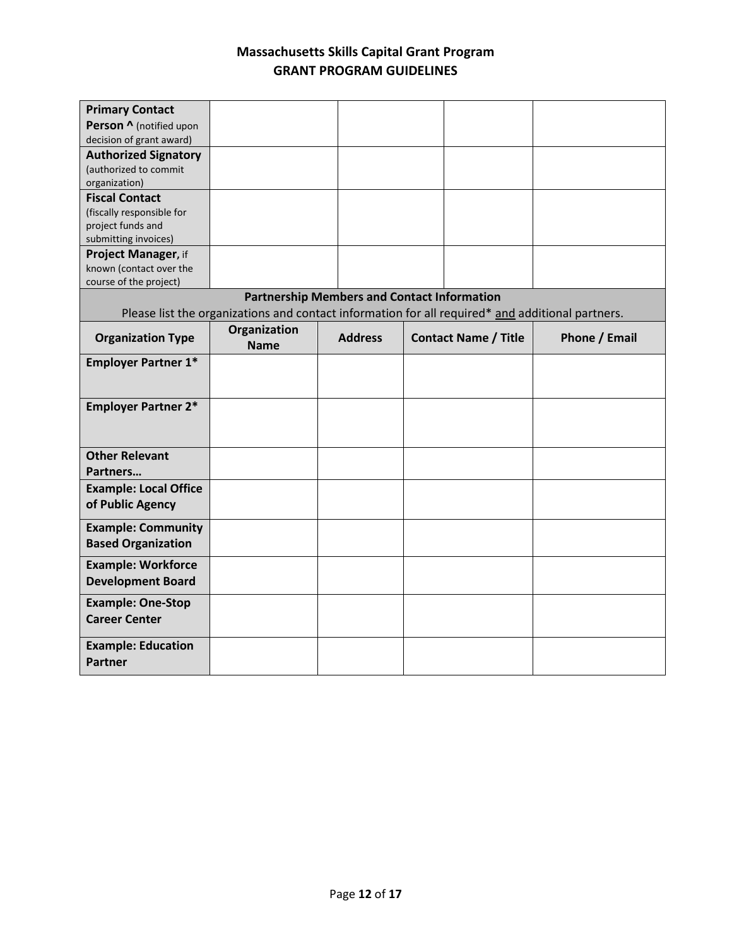| <b>Primary Contact</b>                    |                                                                                                  |                                                    |                             |               |
|-------------------------------------------|--------------------------------------------------------------------------------------------------|----------------------------------------------------|-----------------------------|---------------|
| Person ^ (notified upon                   |                                                                                                  |                                                    |                             |               |
| decision of grant award)                  |                                                                                                  |                                                    |                             |               |
| <b>Authorized Signatory</b>               |                                                                                                  |                                                    |                             |               |
| (authorized to commit                     |                                                                                                  |                                                    |                             |               |
| organization)                             |                                                                                                  |                                                    |                             |               |
| <b>Fiscal Contact</b>                     |                                                                                                  |                                                    |                             |               |
| (fiscally responsible for                 |                                                                                                  |                                                    |                             |               |
| project funds and<br>submitting invoices) |                                                                                                  |                                                    |                             |               |
| Project Manager, if                       |                                                                                                  |                                                    |                             |               |
| known (contact over the                   |                                                                                                  |                                                    |                             |               |
| course of the project)                    |                                                                                                  |                                                    |                             |               |
|                                           |                                                                                                  | <b>Partnership Members and Contact Information</b> |                             |               |
|                                           | Please list the organizations and contact information for all required* and additional partners. |                                                    |                             |               |
| <b>Organization Type</b>                  | Organization<br><b>Name</b>                                                                      | <b>Address</b>                                     | <b>Contact Name / Title</b> | Phone / Email |
|                                           |                                                                                                  |                                                    |                             |               |
| <b>Employer Partner 1*</b>                |                                                                                                  |                                                    |                             |               |
|                                           |                                                                                                  |                                                    |                             |               |
| <b>Employer Partner 2*</b>                |                                                                                                  |                                                    |                             |               |
|                                           |                                                                                                  |                                                    |                             |               |
|                                           |                                                                                                  |                                                    |                             |               |
| <b>Other Relevant</b>                     |                                                                                                  |                                                    |                             |               |
| Partners                                  |                                                                                                  |                                                    |                             |               |
| <b>Example: Local Office</b>              |                                                                                                  |                                                    |                             |               |
| of Public Agency                          |                                                                                                  |                                                    |                             |               |
|                                           |                                                                                                  |                                                    |                             |               |
| <b>Example: Community</b>                 |                                                                                                  |                                                    |                             |               |
| <b>Based Organization</b>                 |                                                                                                  |                                                    |                             |               |
| <b>Example: Workforce</b>                 |                                                                                                  |                                                    |                             |               |
| <b>Development Board</b>                  |                                                                                                  |                                                    |                             |               |
| <b>Example: One-Stop</b>                  |                                                                                                  |                                                    |                             |               |
| <b>Career Center</b>                      |                                                                                                  |                                                    |                             |               |
|                                           |                                                                                                  |                                                    |                             |               |
| <b>Example: Education</b>                 |                                                                                                  |                                                    |                             |               |
| <b>Partner</b>                            |                                                                                                  |                                                    |                             |               |
|                                           |                                                                                                  |                                                    |                             |               |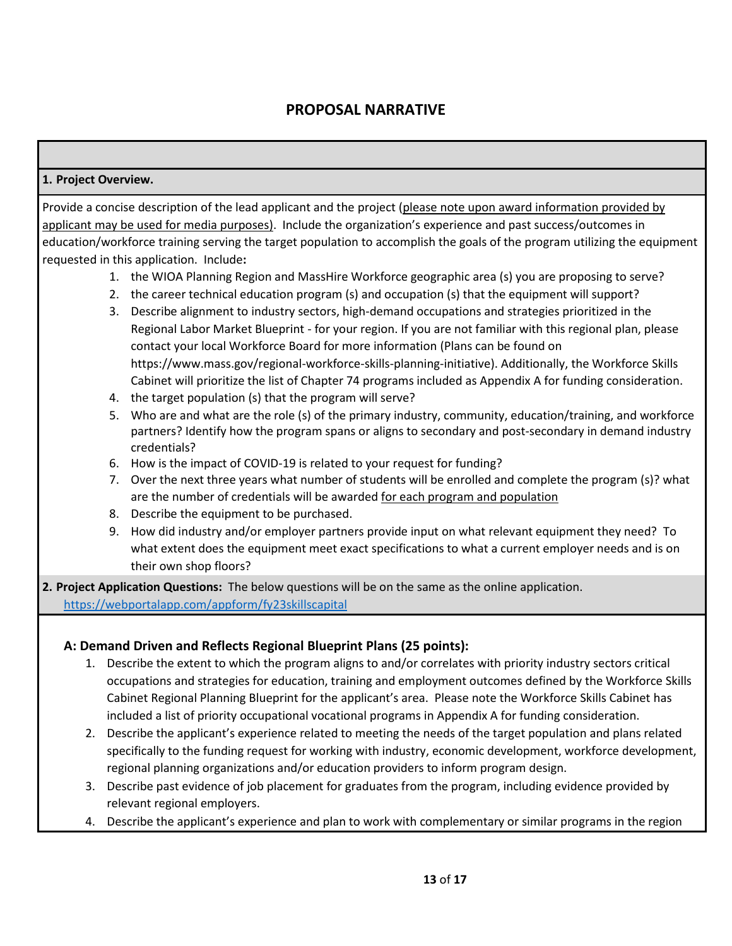# **PROPOSAL NARRATIVE**

#### **1. Project Overview.**

Provide a concise description of the lead applicant and the project (please note upon award information provided by applicant may be used for media purposes). Include the organization's experience and past success/outcomes in education/workforce training serving the target population to accomplish the goals of the program utilizing the equipment requested in this application. Include**:**

- 1. the WIOA Planning Region and MassHire Workforce geographic area (s) you are proposing to serve?
- 2. the career technical education program (s) and occupation (s) that the equipment will support?
- 3. Describe alignment to industry sectors, high-demand occupations and strategies prioritized in the Regional Labor Market Blueprint - for your region. If you are not familiar with this regional plan, please contact your local Workforce Board for more information (Plans can be found on [https://www.mass.gov/regional-workforce-skills-planning-initiative\)](https://www.mass.gov/regional-workforce-skills-planning-initiative). Additionally, the Workforce Skills Cabinet will prioritize the list of Chapter 74 programs included as Appendix A for funding consideration.
- 4. the target population (s) that the program will serve?
- 5. Who are and what are the role (s) of the primary industry, community, education/training, and workforce partners? Identify how the program spans or aligns to secondary and post-secondary in demand industry credentials?
- 6. How is the impact of COVID-19 is related to your request for funding?
- 7. Over the next three years what number of students will be enrolled and complete the program (s)? what are the number of credentials will be awarded for each program and population
- 8. Describe the equipment to be purchased.
- 9. How did industry and/or employer partners provide input on what relevant equipment they need? To what extent does the equipment meet exact specifications to what a current employer needs and is on their own shop floors?

**2. Project Application Questions:** The below questions will be on the same as the online application. <https://webportalapp.com/appform/fy23skillscapital>

#### **A: Demand Driven and Reflects Regional Blueprint Plans (25 points):**

- 1. Describe the extent to which the program aligns to and/or correlates with priority industry sectors critical occupations and strategies for education, training and employment outcomes defined by the Workforce Skills Cabinet Regional Planning Blueprint for the applicant's area. Please note the Workforce Skills Cabinet has included a list of priority occupational vocational programs in Appendix A for funding consideration.
- 2. Describe the applicant's experience related to meeting the needs of the target population and plans related specifically to the funding request for working with industry, economic development, workforce development, regional planning organizations and/or education providers to inform program design.
- 3. Describe past evidence of job placement for graduates from the program, including evidence provided by relevant regional employers.
- 4. Describe the applicant's experience and plan to work with complementary or similar programs in the region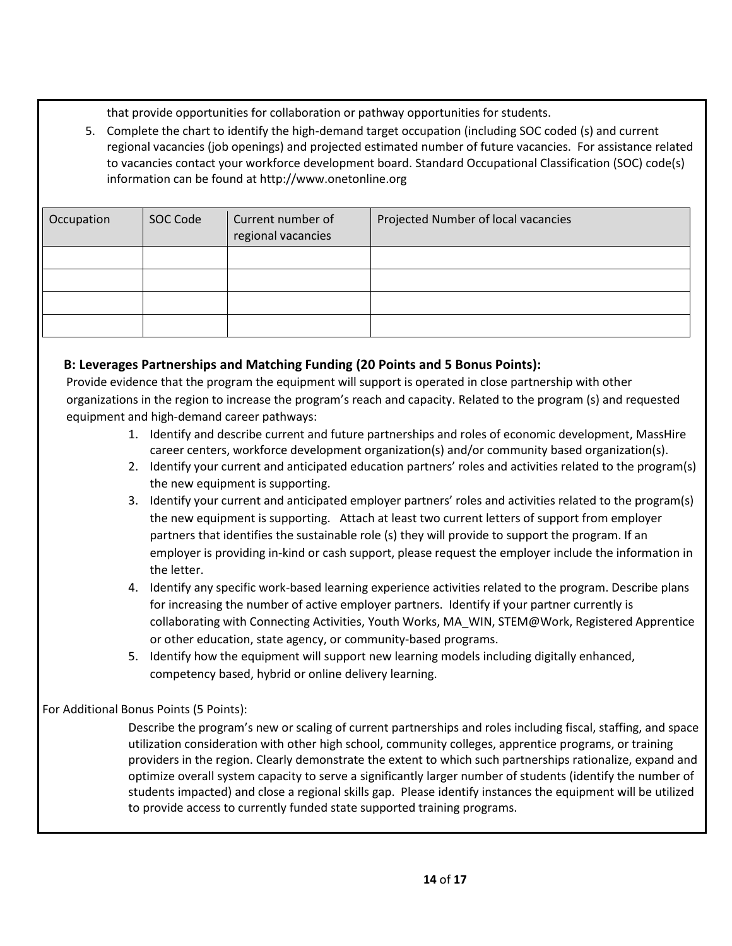that provide opportunities for collaboration or pathway opportunities for students.

5. Complete the chart to identify the high-demand target occupation (including SOC coded (s) and current regional vacancies (job openings) and projected estimated number of future vacancies. For assistance related to vacancies contact your workforce development board. Standard Occupational Classification (SOC) code(s) information can be found at [http://www.onetonline.org](http://www.onetonline.org/)

| Occupation | SOC Code | Current number of<br>regional vacancies | Projected Number of local vacancies |
|------------|----------|-----------------------------------------|-------------------------------------|
|            |          |                                         |                                     |
|            |          |                                         |                                     |
|            |          |                                         |                                     |
|            |          |                                         |                                     |

### **B: Leverages Partnerships and Matching Funding (20 Points and 5 Bonus Points):**

Provide evidence that the program the equipment will support is operated in close partnership with other organizations in the region to increase the program's reach and capacity. Related to the program (s) and requested equipment and high-demand career pathways:

- 1. Identify and describe current and future partnerships and roles of economic development, MassHire career centers, workforce development organization(s) and/or community based organization(s).
- 2. Identify your current and anticipated education partners' roles and activities related to the program(s) the new equipment is supporting.
- 3. Identify your current and anticipated employer partners' roles and activities related to the program(s) the new equipment is supporting. Attach at least two current letters of support from employer partners that identifies the sustainable role (s) they will provide to support the program. If an employer is providing in-kind or cash support, please request the employer include the information in the letter.
- 4. Identify any specific work-based learning experience activities related to the program. Describe plans for increasing the number of active employer partners. Identify if your partner currently is collaborating with Connecting Activities, Youth Works, MA\_WIN, STEM@Work, Registered Apprentice or other education, state agency, or community-based programs.
- 5. Identify how the equipment will support new learning models including digitally enhanced, competency based, hybrid or online delivery learning.

#### For Additional Bonus Points (5 Points):

Describe the program's new or scaling of current partnerships and roles including fiscal, staffing, and space utilization consideration with other high school, community colleges, apprentice programs, or training providers in the region. Clearly demonstrate the extent to which such partnerships rationalize, expand and optimize overall system capacity to serve a significantly larger number of students (identify the number of students impacted) and close a regional skills gap. Please identify instances the equipment will be utilized to provide access to currently funded state supported training programs.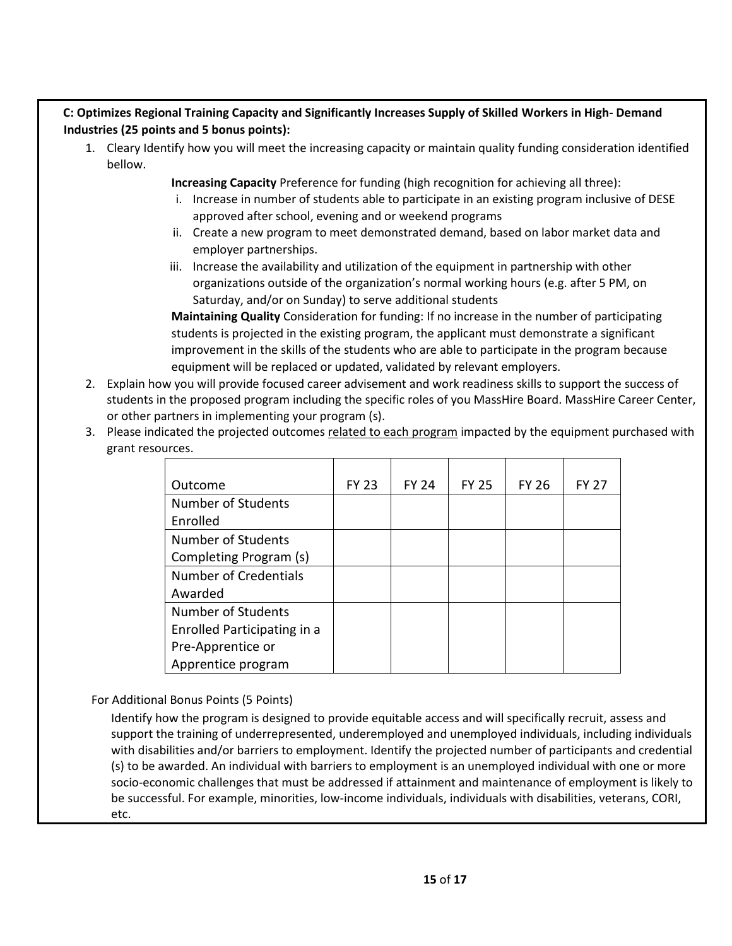#### **C: Optimizes Regional Training Capacity and Significantly Increases Supply of Skilled Workers in High- Demand Industries (25 points and 5 bonus points):**

- 1. Cleary Identify how you will meet the increasing capacity or maintain quality funding consideration identified bellow.
	- **Increasing Capacity** Preference for funding (high recognition for achieving all three):
	- i. Increase in number of students able to participate in an existing program inclusive of DESE approved after school, evening and or weekend programs
	- ii. Create a new program to meet demonstrated demand, based on labor market data and employer partnerships.
	- iii. Increase the availability and utilization of the equipment in partnership with other organizations outside of the organization's normal working hours (e.g. after 5 PM, on Saturday, and/or on Sunday) to serve additional students

**Maintaining Quality** Consideration for funding: If no increase in the number of participating students is projected in the existing program, the applicant must demonstrate a significant improvement in the skills of the students who are able to participate in the program because equipment will be replaced or updated, validated by relevant employers.

- 2. Explain how you will provide focused career advisement and work readiness skills to support the success of students in the proposed program including the specific roles of you MassHire Board. MassHire Career Center, or other partners in implementing your program (s).
- 3. Please indicated the projected outcomes related to each program impacted by the equipment purchased with grant resources.

| Outcome                     | <b>FY 23</b> | <b>FY 24</b> | <b>FY 25</b> | <b>FY 26</b> | <b>FY 27</b> |
|-----------------------------|--------------|--------------|--------------|--------------|--------------|
| Number of Students          |              |              |              |              |              |
| Enrolled                    |              |              |              |              |              |
| Number of Students          |              |              |              |              |              |
| Completing Program (s)      |              |              |              |              |              |
| Number of Credentials       |              |              |              |              |              |
| Awarded                     |              |              |              |              |              |
| Number of Students          |              |              |              |              |              |
| Enrolled Participating in a |              |              |              |              |              |
| Pre-Apprentice or           |              |              |              |              |              |
| Apprentice program          |              |              |              |              |              |

For Additional Bonus Points (5 Points)

Identify how the program is designed to provide equitable access and will specifically recruit, assess and support the training of underrepresented, underemployed and unemployed individuals, including individuals with disabilities and/or barriers to employment. Identify the projected number of participants and credential (s) to be awarded. An individual with barriers to employment is an unemployed individual with one or more socio-economic challenges that must be addressed if attainment and maintenance of employment is likely to be successful. For example, minorities, low-income individuals, individuals with disabilities, veterans, CORI, etc.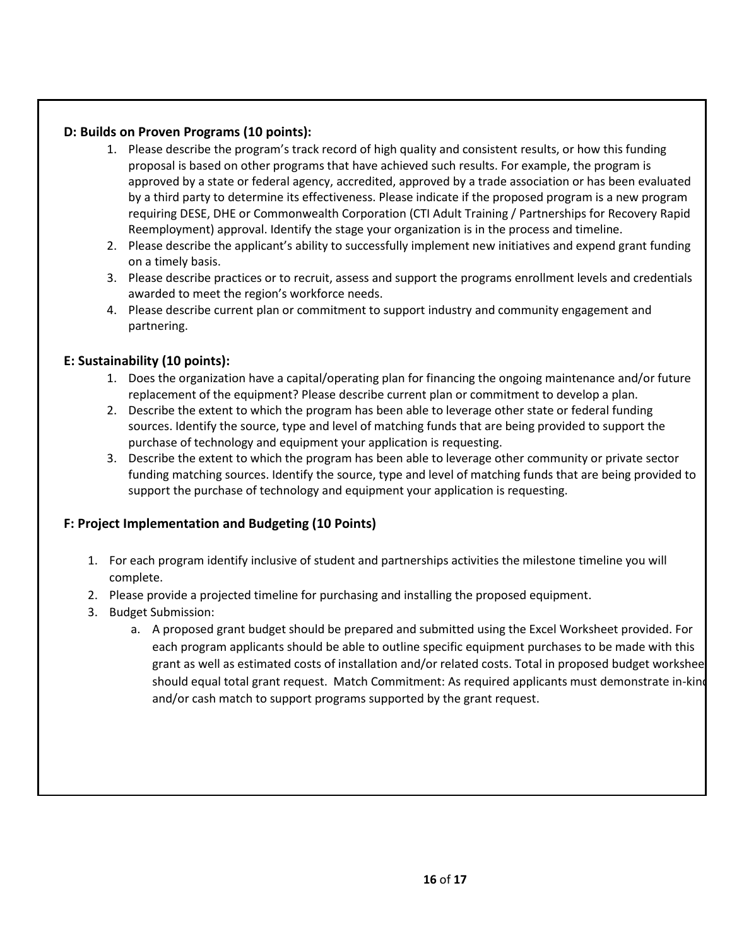#### **D: Builds on Proven Programs (10 points):**

- 1. Please describe the program's track record of high quality and consistent results, or how this funding proposal is based on other programs that have achieved such results. For example, the program is approved by a state or federal agency, accredited, approved by a trade association or has been evaluated by a third party to determine its effectiveness. Please indicate if the proposed program is a new program requiring DESE, DHE or Commonwealth Corporation (CTI Adult Training / Partnerships for Recovery Rapid Reemployment) approval. Identify the stage your organization is in the process and timeline.
- 2. Please describe the applicant's ability to successfully implement new initiatives and expend grant funding on a timely basis.
- 3. Please describe practices or to recruit, assess and support the programs enrollment levels and credentials awarded to meet the region's workforce needs.
- 4. Please describe current plan or commitment to support industry and community engagement and partnering.

### **E: Sustainability (10 points):**

- 1. Does the organization have a capital/operating plan for financing the ongoing maintenance and/or future replacement of the equipment? Please describe current plan or commitment to develop a plan.
- 2. Describe the extent to which the program has been able to leverage other state or federal funding sources. Identify the source, type and level of matching funds that are being provided to support the purchase of technology and equipment your application is requesting.
- 3. Describe the extent to which the program has been able to leverage other community or private sector funding matching sources. Identify the source, type and level of matching funds that are being provided to support the purchase of technology and equipment your application is requesting.

#### **F: Project Implementation and Budgeting (10 Points)**

- 1. For each program identify inclusive of student and partnerships activities the milestone timeline you will complete.
- 2. Please provide a projected timeline for purchasing and installing the proposed equipment.
- 3. Budget Submission:
	- a. A proposed grant budget should be prepared and submitted using the Excel Worksheet provided. For each program applicants should be able to outline specific equipment purchases to be made with this grant as well as estimated costs of installation and/or related costs. Total in proposed budget worksheet should equal total grant request. Match Commitment: As required applicants must demonstrate in-kind and/or cash match to support programs supported by the grant request.